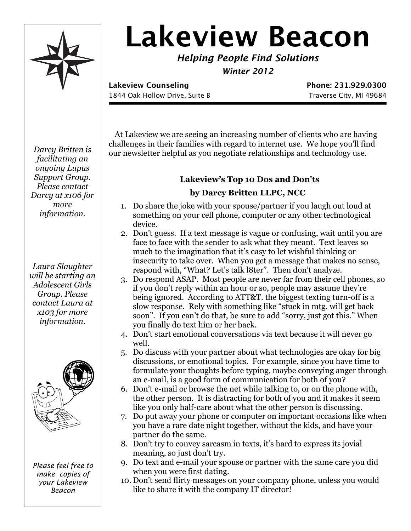

# **Lakeview Beacon**

*Helping People Find Solutions*

*Winter 2012*

**Lakeview Counseling Phone: 231.929.0300** 1844 Oak Hollow Drive, Suite B Traverse City, MI 49684

 At Lakeview we are seeing an increasing number of clients who are having challenges in their families with regard to internet use. We hope you'll find our newsletter helpful as you negotiate relationships and technology use.

# **Lakeview's Top 10 Dos and Don'ts**

## **by Darcy Britten LLPC, NCC**

- 1. Do share the joke with your spouse/partner if you laugh out loud at something on your cell phone, computer or any other technological device.
- 2. Don't guess. If a text message is vague or confusing, wait until you are face to face with the sender to ask what they meant. Text leaves so much to the imagination that it's easy to let wishful thinking or insecurity to take over. When you get a message that makes no sense, respond with, "What? Let's talk l8ter". Then don't analyze.
- 3. Do respond ASAP. Most people are never far from their cell phones, so if you don't reply within an hour or so, people may assume they're being ignored. According to ATT&T. the biggest texting turn-off is a slow response. Rely with something like "stuck in mtg. will get back soon". If you can't do that, be sure to add "sorry, just got this." When you finally do text him or her back.
- 4. Don't start emotional conversations via text because it will never go well.
- 5. Do discuss with your partner about what technologies are okay for big discussions, or emotional topics. For example, since you have time to formulate your thoughts before typing, maybe conveying anger through an e-mail, is a good form of communication for both of you?
- 6. Don't e-mail or browse the net while talking to, or on the phone with, the other person. It is distracting for both of you and it makes it seem like you only half-care about what the other person is discussing.
- 7. Do put away your phone or computer on important occasions like when you have a rare date night together, without the kids, and have your partner do the same.
- 8. Don't try to convey sarcasm in texts, it's hard to express its jovial meaning, so just don't try.
- 9. Do text and e-mail your spouse or partner with the same care you did when you were first dating.
- 10. Don't send flirty messages on your company phone, unless you would like to share it with the company IT director!

*Darcy Britten is facilitating an ongoing Lupus Support Group. Please contact Darcy at x106 for more information.*

*Laura Slaughter will be starting an Adolescent Girls Group. Please contact Laura at x103 for more information.*



*Please feel free to make copies of your Lakeview Beacon*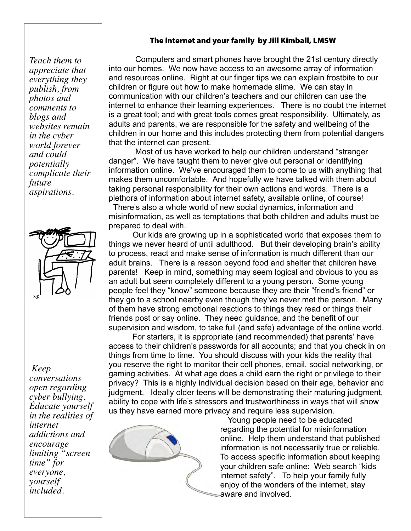#### *Teach them to appreciate that everything they publish, from photos and comments to blogs and websites remain in the cyber world forever and could potentially complicate their future aspirations.*

#### *Keep*

*conversations open regarding cyber bullying. Educate yourself in the realities of internet addictions and encourage limiting "screen time" for everyone, yourself included.*

### The internet and your family by Jill Kimball, LMSW

 Computers and smart phones have brought the 21st century directly into our homes. We now have access to an awesome array of information and resources online. Right at our finger tips we can explain frostbite to our children or figure out how to make homemade slime. We can stay in communication with our children's teachers and our children can use the internet to enhance their learning experiences. There is no doubt the internet is a great tool; and with great tools comes great responsibility. Ultimately, as adults and parents, we are responsible for the safety and wellbeing of the children in our home and this includes protecting them from potential dangers that the internet can present.

 Most of us have worked to help our children understand "stranger danger". We have taught them to never give out personal or identifying information online. We've encouraged them to come to us with anything that makes them uncomfortable. And hopefully we have talked with them about taking personal responsibility for their own actions and words. There is a plethora of information about internet safety, available online, of course! There's also a whole world of new social dynamics, information and misinformation, as well as temptations that both children and adults must be prepared to deal with.

Our kids are growing up in a sophisticated world that exposes them to things we never heard of until adulthood. But their developing brain's ability to process, react and make sense of information is much different than our adult brains. There is a reason beyond food and shelter that children have parents! Keep in mind, something may seem logical and obvious to you as an adult but seem completely different to a young person. Some young people feel they "know" someone because they are their "friend's friend" or they go to a school nearby even though they've never met the person. Many of them have strong emotional reactions to things they read or things their friends post or say online. They need guidance, and the benefit of our supervision and wisdom, to take full (and safe) advantage of the online world.

For starters, it is appropriate (and recommended) that parents' have access to their children's passwords for all accounts; and that you check in on things from time to time. You should discuss with your kids the reality that you reserve the right to monitor their cell phones, email, social networking, or gaming activities. At what age does a child earn the right or privilege to their privacy? This is a highly individual decision based on their age, behavior and judgment. Ideally older teens will be demonstrating their maturing judgment, ability to cope with life's stressors and trustworthiness in ways that will show us they have earned more privacy and require less supervision.



 Young people need to be educated regarding the potential for misinformation online. Help them understand that published information is not necessarily true or reliable. To access specific information about keeping your children safe online: Web search "kids internet safety". To help your family fully enjoy of the wonders of the internet, stay aware and involved.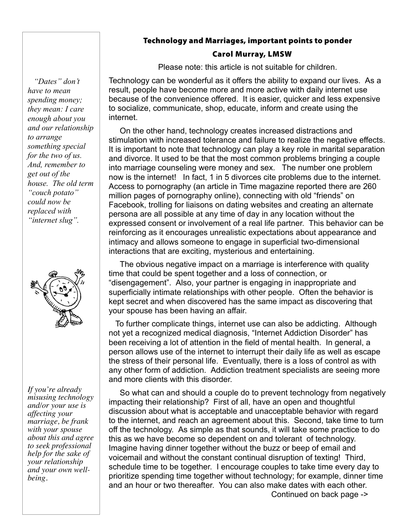#### Technology and Marriages, important points to ponder

#### Carol Murray, LMSW

Please note: this article is not suitable for children.

Technology can be wonderful as it offers the ability to expand our lives. As a result, people have become more and more active with daily internet use because of the convenience offered. It is easier, quicker and less expensive to socialize, communicate, shop, educate, inform and create using the internet.

 On the other hand, technology creates increased distractions and stimulation with increased tolerance and failure to realize the negative effects. It is important to note that technology can play a key role in marital separation and divorce. It used to be that the most common problems bringing a couple into marriage counseling were money and sex. The number one problem now is the internet! In fact, 1 in 5 divorces cite problems due to the internet. Access to pornography (an article in Time magazine reported there are 260 million pages of pornography online), connecting with old "friends" on Facebook, trolling for liaisons on dating websites and creating an alternate persona are all possible at any time of day in any location without the expressed consent or involvement of a real life partner. This behavior can be reinforcing as it encourages unrealistic expectations about appearance and intimacy and allows someone to engage in superficial two-dimensional interactions that are exciting, mysterious and entertaining.

 The obvious negative impact on a marriage is interference with quality time that could be spent together and a loss of connection, or "disengagement". Also, your partner is engaging in inappropriate and superficially intimate relationships with other people. Often the behavior is kept secret and when discovered has the same impact as discovering that your spouse has been having an affair.

 To further complicate things, internet use can also be addicting. Although not yet a recognized medical diagnosis, "Internet Addiction Disorder" has been receiving a lot of attention in the field of mental health. In general, a person allows use of the internet to interrupt their daily life as well as escape the stress of their personal life. Eventually, there is a loss of control as with any other form of addiction. Addiction treatment specialists are seeing more and more clients with this disorder.

 So what can and should a couple do to prevent technology from negatively impacting their relationship? First of all, have an open and thoughtful discussion about what is acceptable and unacceptable behavior with regard to the internet, and reach an agreement about this. Second, take time to turn off the technology. As simple as that sounds, it will take some practice to do this as we have become so dependent on and tolerant of technology. Imagine having dinner together without the buzz or beep of email and voicemail and without the constant continual disruption of texting! Third, schedule time to be together. I encourage couples to take time every day to prioritize spending time together without technology; for example, dinner time and an hour or two thereafter. You can also make dates with each other. Continued on back page ->

 *"Dates" don't have to mean spending money; they mean: I care enough about you and our relationship to arrange something special for the two of us. And, remember to get out of the house. The old term "couch potato" could now be replaced with "internet slug".*



*If you're already misusing technology and/or your use is affecting your marriage, be frank with your spouse about this and agree to seek professional help for the sake of your relationship and your own wellbeing.*